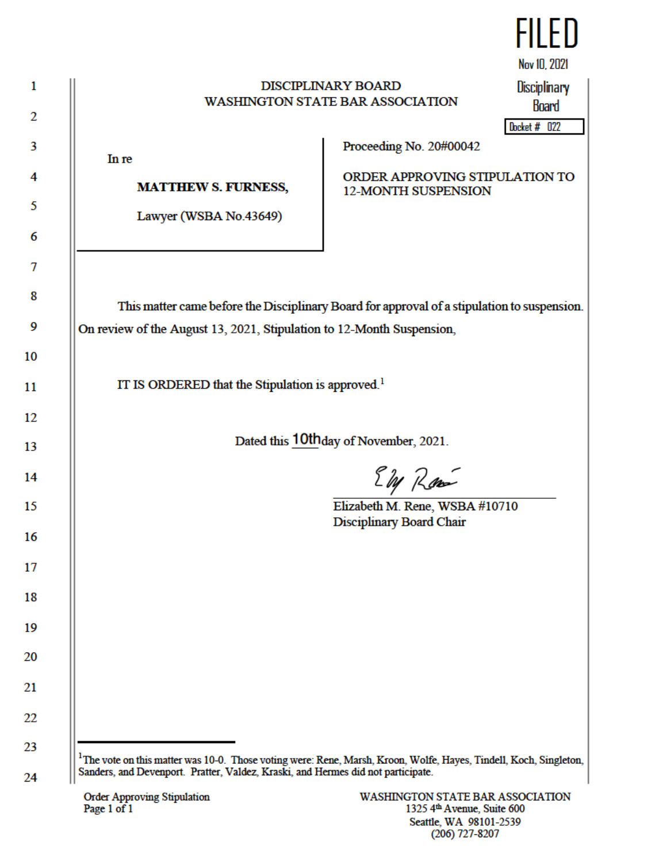| <b>DISCIPLINARY BOARD</b><br><b>WASHINGTON STATE BAR ASSOCIATION</b>                                                                                                 |                                                                                         | Nov 10, 2021<br><b>Disciplinary</b><br><b>Board</b> |
|----------------------------------------------------------------------------------------------------------------------------------------------------------------------|-----------------------------------------------------------------------------------------|-----------------------------------------------------|
| In re<br><b>MATTHEW S. FURNESS,</b><br>Lawyer (WSBA No.43649)                                                                                                        | Proceeding No. 20#00042<br>ORDER APPROVING STIPULATION TO<br><b>12-MONTH SUSPENSION</b> | Docket # 022                                        |
| This matter came before the Disciplinary Board for approval of a stipulation to suspension.<br>On review of the August 13, 2021, Stipulation to 12-Month Suspension, |                                                                                         |                                                     |
| IT IS ORDERED that the Stipulation is approved. <sup>1</sup>                                                                                                         |                                                                                         |                                                     |
|                                                                                                                                                                      | Dated this 10th day of November, 2021.                                                  |                                                     |
|                                                                                                                                                                      | Eby Roo<br>Elizabeth M. Rene, WSBA #10710<br>Disciplinary Board Chair                   |                                                     |
|                                                                                                                                                                      |                                                                                         |                                                     |
|                                                                                                                                                                      |                                                                                         |                                                     |

<sup>1</sup>The vote on this matter was 10-0. Those voting were: Rene, Marsh, Kroon, Wolfe, Hayes, T Sanders, and Devenport. Pratter, Valdez, Kraski, and Hermes did not participate.

 $\mathbf{1}$ 

 $\overline{2}$ 

 $\overline{\mathbf{3}}$ 

 $\overline{7}$